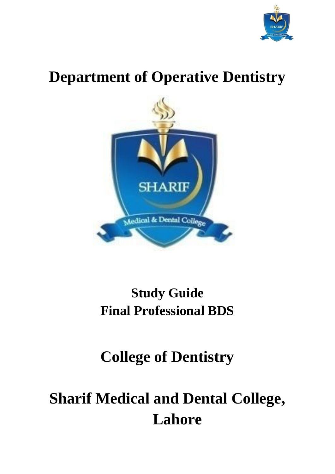

# **Department of Operative Dentistry**



## **Study Guide Final Professional BDS**

## **College of Dentistry**

# **Sharif Medical and Dental College, Lahore**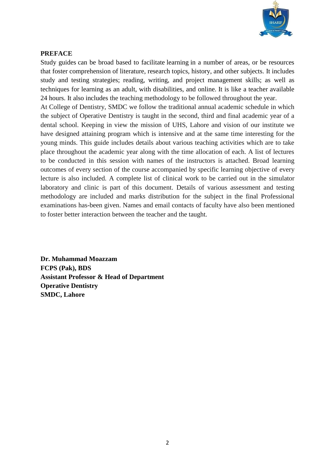

## **PREFACE**

Study guides can be broad based to facilitate [learning](https://en.wikipedia.org/wiki/Learning) in a number of areas, or be resources that foster comprehension of literature, research topics, history, and other subjects. It includes study and testing strategies; reading, writing, and project management skills; as well as techniques for learning as an adult, with disabilities, and online. It is like a teacher available 24 hours. It also includes the teaching methodology to be followed throughout the year.

At College of Dentistry, SMDC we follow the traditional annual academic schedule in which the subject of Operative Dentistry is taught in the second, third and final academic year of a dental school. Keeping in view the mission of UHS, Lahore and vision of our institute we have designed attaining program which is intensive and at the same time interesting for the young minds. This guide includes details about various teaching activities which are to take place throughout the academic year along with the time allocation of each. A list of lectures to be conducted in this session with names of the instructors is attached. Broad learning outcomes of every section of the course accompanied by specific learning objective of every lecture is also included. A complete list of clinical work to be carried out in the simulator laboratory and clinic is part of this document. Details of various assessment and testing methodology are included and marks distribution for the subject in the final Professional examinations has-been given. Names and email contacts of faculty have also been mentioned to foster better interaction between the teacher and the taught.

**Dr. Muhammad Moazzam FCPS (Pak), BDS Assistant Professor & Head of Department Operative Dentistry SMDC, Lahore**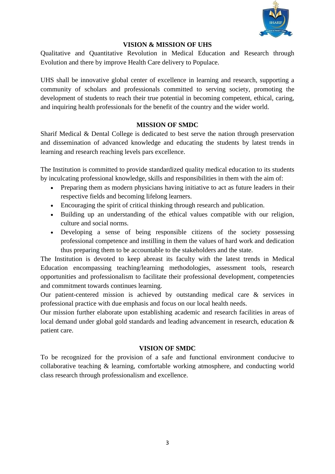

#### **VISION & MISSION OF UHS**

Qualitative and Quantitative Revolution in Medical Education and Research through Evolution and there by improve Health Care delivery to Populace.

UHS shall be innovative global center of excellence in learning and research, supporting a community of scholars and professionals committed to serving society, promoting the development of students to reach their true potential in becoming competent, ethical, caring, and inquiring health professionals for the benefit of the country and the wider world.

## **MISSION OF SMDC**

Sharif Medical & Dental College is dedicated to best serve the nation through preservation and dissemination of advanced knowledge and educating the students by latest trends in learning and research reaching levels pars excellence.

The Institution is committed to provide standardized quality medical education to its students by inculcating professional knowledge, skills and responsibilities in them with the aim of:

- Preparing them as modern physicians having initiative to act as future leaders in their respective fields and becoming lifelong learners.
- Encouraging the spirit of critical thinking through research and publication.
- Building up an understanding of the ethical values compatible with our religion, culture and social norms.
- Developing a sense of being responsible citizens of the society possessing professional competence and instilling in them the values of hard work and dedication thus preparing them to be accountable to the stakeholders and the state.

The Institution is devoted to keep abreast its faculty with the latest trends in Medical Education encompassing teaching/learning methodologies, assessment tools, research opportunities and professionalism to facilitate their professional development, competencies and commitment towards continues learning.

Our patient-centered mission is achieved by outstanding medical care & services in professional practice with due emphasis and focus on our local health needs.

Our mission further elaborate upon establishing academic and research facilities in areas of local demand under global gold standards and leading advancement in research, education  $\&$ patient care.

## **VISION OF SMDC**

To be recognized for the provision of a safe and functional environment conducive to collaborative teaching & learning, comfortable working atmosphere, and conducting world class research through professionalism and excellence.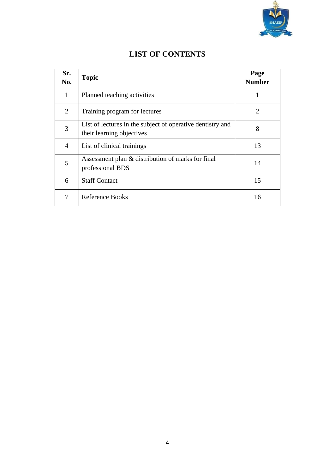

| Sr.<br>No.     | <b>Topic</b>                                                                            | Page<br><b>Number</b> |
|----------------|-----------------------------------------------------------------------------------------|-----------------------|
| $\mathbf{1}$   | Planned teaching activities                                                             |                       |
| $\overline{2}$ | Training program for lectures                                                           | 2                     |
| 3              | List of lectures in the subject of operative dentistry and<br>their learning objectives | 8                     |
| 4              | List of clinical trainings                                                              | 13                    |
| 5              | Assessment plan & distribution of marks for final<br>professional BDS                   | 14                    |
| 6              | <b>Staff Contact</b>                                                                    | 15                    |
| 7              | Reference Books                                                                         | 16                    |

## **LIST OF CONTENTS**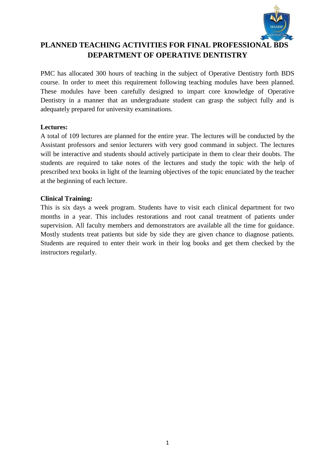

## **PLANNED TEACHING ACTIVITIES FOR FINAL PROFESSIONAL BDS DEPARTMENT OF OPERATIVE DENTISTRY**

PMC has allocated 300 hours of teaching in the subject of Operative Dentistry forth BDS course. In order to meet this requirement following teaching modules have been planned. These modules have been carefully designed to impart core knowledge of Operative Dentistry in a manner that an undergraduate student can grasp the subject fully and is adequately prepared for university examinations.

## **Lectures:**

A total of 109 lectures are planned for the entire year. The lectures will be conducted by the Assistant professors and senior lecturers with very good command in subject. The lectures will be interactive and students should actively participate in them to clear their doubts. The students are required to take notes of the lectures and study the topic with the help of prescribed text books in light of the learning objectives of the topic enunciated by the teacher at the beginning of each lecture.

#### **Clinical Training:**

This is six days a week program. Students have to visit each clinical department for two months in a year. This includes restorations and root canal treatment of patients under supervision. All faculty members and demonstrators are available all the time for guidance. Mostly students treat patients but side by side they are given chance to diagnose patients. Students are required to enter their work in their log books and get them checked by the instructors regularly.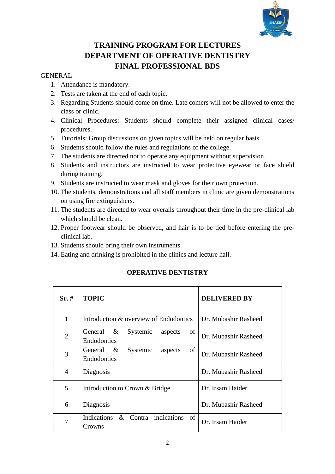

## **TRAINING PROGRAM FOR LECTURES DEPARTMENT OF OPERATIVE DENTISTRY FINAL PROFESSIONAL BDS**

## GENERAL

- 1. Attendance is mandatory.
- 2. Tests are taken at the end of each topic.
- 3. Regarding Students should come on time. Late comers will not be allowed to enter the class or clinic.
- 4. Clinical Procedures: Students should complete their assigned clinical cases/ procedures.
- 5. Tutorials: Group discussions on given topics will be held on regular basis
- 6. Students should follow the rules and regulations of the college.
- 7. The students are directed not to operate any equipment without supervision.
- 8. Students and instructors are instructed to wear protective eyewear or face shield during training.
- 9. Students are instructed to wear mask and gloves for their own protection.
- 10. The students, demonstrations and all staff members in clinic are given demonstrations on using fire extinguishers.
- 11. The students are directed to wear overalls throughout their time in the pre-clinical lab which should be clean.
- 12. Proper footwear should be observed, and hair is to be tied before entering the preclinical lab.
- 13. Students should bring their own instruments.
- 14. Eating and drinking is prohibited in the clinics and lecture hall.

| $Sr.~\#$       | <b>TOPIC</b>                                                    | <b>DELIVERED BY</b>  |
|----------------|-----------------------------------------------------------------|----------------------|
| 1              | Introduction & overview of Endodontics                          | Dr. Mubashir Rasheed |
| $\overline{2}$ | of<br>General $\&$<br>Systemic<br>aspects<br><b>Endodontics</b> | Dr. Mubashir Rasheed |
| 3              | of<br>General $\&$<br>Systemic<br>aspects<br><b>Endodontics</b> | Dr. Mubashir Rasheed |
| 4              | Diagnosis                                                       | Dr. Mubashir Rasheed |
| 5              | Introduction to Crown & Bridge                                  | Dr. Irsam Haider     |
| 6              | Diagnosis                                                       | Dr. Mubashir Rasheed |
| 7              | Indications & Contra indications of<br>Crowns                   | Dr. Irsam Haider     |

## **OPERATIVE DENTISTRY**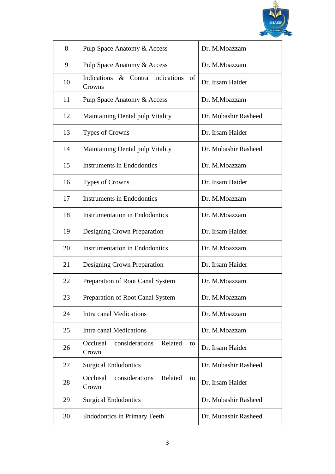

| 8  | Pulp Space Anatomy & Access                          | Dr. M.Moazzam        |
|----|------------------------------------------------------|----------------------|
| 9  | Pulp Space Anatomy & Access                          | Dr. M.Moazzam        |
| 10 | Indications & Contra indications of<br>Crowns        | Dr. Irsam Haider     |
| 11 | Pulp Space Anatomy & Access                          | Dr. M.Moazzam        |
| 12 | <b>Maintaining Dental pulp Vitality</b>              | Dr. Mubashir Rasheed |
| 13 | <b>Types of Crowns</b>                               | Dr. Irsam Haider     |
| 14 | Maintaining Dental pulp Vitality                     | Dr. Mubashir Rasheed |
| 15 | <b>Instruments in Endodontics</b>                    | Dr. M.Moazzam        |
| 16 | <b>Types of Crowns</b>                               | Dr. Irsam Haider     |
| 17 | <b>Instruments in Endodontics</b>                    | Dr. M.Moazzam        |
| 18 | <b>Instrumentation in Endodontics</b>                | Dr. M.Moazzam        |
| 19 | Designing Crown Preparation                          | Dr. Irsam Haider     |
| 20 | <b>Instrumentation in Endodontics</b>                | Dr. M.Moazzam        |
| 21 | Designing Crown Preparation                          | Dr. Irsam Haider     |
| 22 | Preparation of Root Canal System                     | Dr. M.Moazzam        |
| 23 | Preparation of Root Canal System                     | Dr. M.Moazzam        |
| 24 | Intra canal Medications                              | Dr. M.Moazzam        |
| 25 | Intra canal Medications                              | Dr. M.Moazzam        |
| 26 | considerations<br>Occlusal<br>Related<br>to<br>Crown | Dr. Irsam Haider     |
| 27 | <b>Surgical Endodontics</b>                          | Dr. Mubashir Rasheed |
| 28 | Occlusal<br>considerations<br>Related<br>to<br>Crown | Dr. Irsam Haider     |
| 29 | <b>Surgical Endodontics</b>                          | Dr. Mubashir Rasheed |
| 30 | <b>Endodontics in Primary Teeth</b>                  | Dr. Mubashir Rasheed |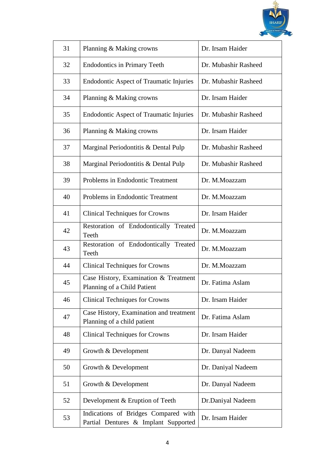

| 31 | Planning & Making crowns                                                     | Dr. Irsam Haider     |
|----|------------------------------------------------------------------------------|----------------------|
| 32 | <b>Endodontics in Primary Teeth</b>                                          | Dr. Mubashir Rasheed |
| 33 | <b>Endodontic Aspect of Traumatic Injuries</b>                               | Dr. Mubashir Rasheed |
| 34 | Planning & Making crowns                                                     | Dr. Irsam Haider     |
| 35 | <b>Endodontic Aspect of Traumatic Injuries</b>                               | Dr. Mubashir Rasheed |
| 36 | Planning & Making crowns                                                     | Dr. Irsam Haider     |
| 37 | Marginal Periodontitis & Dental Pulp                                         | Dr. Mubashir Rasheed |
| 38 | Marginal Periodontitis & Dental Pulp                                         | Dr. Mubashir Rasheed |
| 39 | Problems in Endodontic Treatment                                             | Dr. M.Moazzam        |
| 40 | Problems in Endodontic Treatment                                             | Dr. M.Moazzam        |
| 41 | <b>Clinical Techniques for Crowns</b>                                        | Dr. Irsam Haider     |
| 42 | Restoration of Endodontically Treated<br>Teeth                               | Dr. M.Moazzam        |
| 43 | Restoration of Endodontically Treated<br>Teeth                               | Dr. M.Moazzam        |
| 44 | <b>Clinical Techniques for Crowns</b>                                        | Dr. M.Moazzam        |
| 45 | Case History, Examination & Treatment<br>Planning of a Child Patient         | Dr. Fatima Aslam     |
| 46 | <b>Clinical Techniques for Crowns</b>                                        | Dr. Irsam Haider     |
| 47 | Case History, Examination and treatment<br>Planning of a child patient       | Dr. Fatima Aslam     |
| 48 | <b>Clinical Techniques for Crowns</b>                                        | Dr. Irsam Haider     |
| 49 | Growth & Development                                                         | Dr. Danyal Nadeem    |
| 50 | Growth & Development                                                         | Dr. Daniyal Nadeem   |
| 51 | Growth & Development                                                         | Dr. Danyal Nadeem    |
| 52 | Development & Eruption of Teeth                                              | Dr.Daniyal Nadeem    |
| 53 | Indications of Bridges Compared with<br>Partial Dentures & Implant Supported | Dr. Irsam Haider     |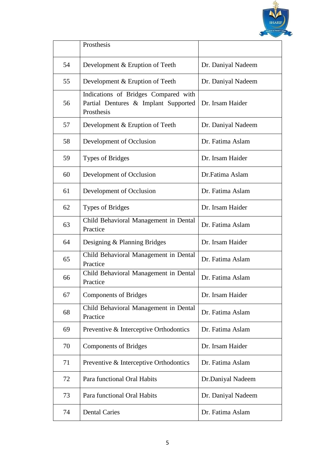

|    | Prosthesis                                                                                 |                    |
|----|--------------------------------------------------------------------------------------------|--------------------|
| 54 | Development & Eruption of Teeth                                                            | Dr. Daniyal Nadeem |
| 55 | Development & Eruption of Teeth                                                            | Dr. Daniyal Nadeem |
| 56 | Indications of Bridges Compared with<br>Partial Dentures & Implant Supported<br>Prosthesis | Dr. Irsam Haider   |
| 57 | Development & Eruption of Teeth                                                            | Dr. Daniyal Nadeem |
| 58 | Development of Occlusion                                                                   | Dr. Fatima Aslam   |
| 59 | <b>Types of Bridges</b>                                                                    | Dr. Irsam Haider   |
| 60 | Development of Occlusion                                                                   | Dr.Fatima Aslam    |
| 61 | Development of Occlusion                                                                   | Dr. Fatima Aslam   |
| 62 | <b>Types of Bridges</b>                                                                    | Dr. Irsam Haider   |
| 63 | Child Behavioral Management in Dental<br>Practice                                          | Dr. Fatima Aslam   |
| 64 | Designing & Planning Bridges                                                               | Dr. Irsam Haider   |
| 65 | Child Behavioral Management in Dental<br>Practice                                          | Dr. Fatima Aslam   |
| 66 | Child Behavioral Management in Dental<br>Practice                                          | Dr. Fatima Aslam   |
| 67 | <b>Components of Bridges</b>                                                               | Dr. Irsam Haider   |
| 68 | Child Behavioral Management in Dental<br>Practice                                          | Dr. Fatima Aslam   |
| 69 | Preventive & Interceptive Orthodontics                                                     | Dr. Fatima Aslam   |
| 70 | <b>Components of Bridges</b>                                                               | Dr. Irsam Haider   |
| 71 | Preventive & Interceptive Orthodontics                                                     | Dr. Fatima Aslam   |
| 72 | Para functional Oral Habits                                                                | Dr.Daniyal Nadeem  |
| 73 | Para functional Oral Habits                                                                | Dr. Daniyal Nadeem |
| 74 | <b>Dental Caries</b>                                                                       | Dr. Fatima Aslam   |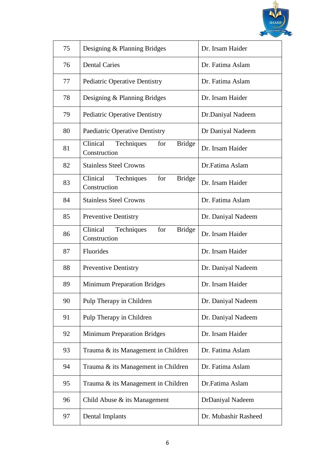

| 75 | Designing & Planning Bridges                                   | Dr. Irsam Haider     |
|----|----------------------------------------------------------------|----------------------|
| 76 | <b>Dental Caries</b>                                           | Dr. Fatima Aslam     |
| 77 | <b>Pediatric Operative Dentistry</b>                           | Dr. Fatima Aslam     |
| 78 | Designing & Planning Bridges                                   | Dr. Irsam Haider     |
| 79 | <b>Pediatric Operative Dentistry</b>                           | Dr.Daniyal Nadeem    |
| 80 | Paediatric Operative Dentistry                                 | Dr Daniyal Nadeem    |
| 81 | Techniques<br>for<br>Clinical<br><b>Bridge</b><br>Construction | Dr. Irsam Haider     |
| 82 | <b>Stainless Steel Crowns</b>                                  | Dr.Fatima Aslam      |
| 83 | Clinical Techniques<br>for<br><b>Bridge</b><br>Construction    | Dr. Irsam Haider     |
| 84 | <b>Stainless Steel Crowns</b>                                  | Dr. Fatima Aslam     |
| 85 | <b>Preventive Dentistry</b>                                    | Dr. Daniyal Nadeem   |
| 86 | Clinical Techniques<br>for<br><b>Bridge</b><br>Construction    | Dr. Irsam Haider     |
| 87 | Fluorides                                                      | Dr. Irsam Haider     |
| 88 | <b>Preventive Dentistry</b>                                    | Dr. Daniyal Nadeem   |
| 89 | <b>Minimum Preparation Bridges</b>                             | Dr. Irsam Haider     |
| 90 | Pulp Therapy in Children                                       | Dr. Daniyal Nadeem   |
| 91 | Pulp Therapy in Children                                       | Dr. Daniyal Nadeem   |
| 92 | <b>Minimum Preparation Bridges</b>                             | Dr. Irsam Haider     |
| 93 | Trauma & its Management in Children                            | Dr. Fatima Aslam     |
| 94 | Trauma & its Management in Children                            | Dr. Fatima Aslam     |
| 95 | Trauma & its Management in Children                            | Dr.Fatima Aslam      |
| 96 | Child Abuse $\&$ its Management                                | DrDaniyal Nadeem     |
| 97 | Dental Implants                                                | Dr. Mubashir Rasheed |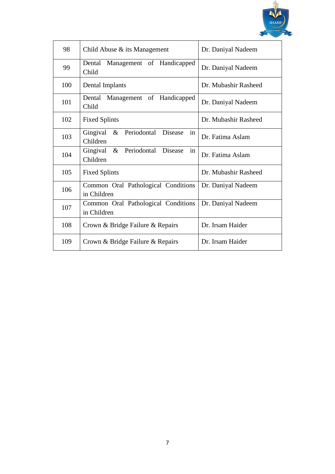

| 98  | Child Abuse $\&$ its Management                        | Dr. Daniyal Nadeem   |
|-----|--------------------------------------------------------|----------------------|
| 99  | Dental<br>Management of Handicapped<br>Child           | Dr. Daniyal Nadeem   |
| 100 | Dental Implants                                        | Dr. Mubashir Rasheed |
| 101 | Dental<br>Management of Handicapped<br>Child           | Dr. Daniyal Nadeem   |
| 102 | <b>Fixed Splints</b>                                   | Dr. Mubashir Rasheed |
| 103 | Gingival & Periodontal Disease<br>in<br>Children       | Dr. Fatima Aslam     |
| 104 | in<br>& Periodontal<br>Gingival<br>Disease<br>Children | Dr. Fatima Aslam     |
| 105 | <b>Fixed Splints</b>                                   | Dr. Mubashir Rasheed |
| 106 | Common Oral Pathological Conditions<br>in Children     | Dr. Daniyal Nadeem   |
| 107 | Common Oral Pathological Conditions<br>in Children     | Dr. Daniyal Nadeem   |
| 108 | Crown & Bridge Failure & Repairs                       | Dr. Irsam Haider     |
| 109 | Crown & Bridge Failure & Repairs                       | Dr. Irsam Haider     |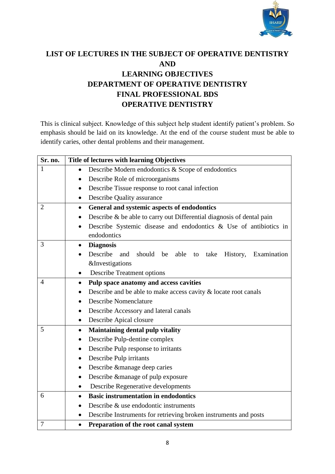

## **LIST OF LECTURES IN THE SUBJECT OF OPERATIVE DENTISTRY AND LEARNING OBJECTIVES DEPARTMENT OF OPERATIVE DENTISTRY FINAL PROFESSIONAL BDS OPERATIVE DENTISTRY**

This is clinical subject. Knowledge of this subject help student identify patient's problem. So emphasis should be laid on its knowledge. At the end of the course student must be able to identify caries, other dental problems and their management.

| Sr. no.        | Title of lectures with learning Objectives                                        |
|----------------|-----------------------------------------------------------------------------------|
| $\mathbf{1}$   | Describe Modern endodontics & Scope of endodontics<br>$\bullet$                   |
|                | Describe Role of microorganisms<br>$\bullet$                                      |
|                | Describe Tissue response to root canal infection<br>$\bullet$                     |
|                | Describe Quality assurance<br>$\bullet$                                           |
| $\overline{2}$ | General and systemic aspects of endodontics<br>$\bullet$                          |
|                | Describe & be able to carry out Differential diagnosis of dental pain             |
|                | Describe Systemic disease and endodontics $\&$ Use of antibiotics in<br>$\bullet$ |
|                | endodontics                                                                       |
| 3              | <b>Diagnosis</b><br>$\bullet$                                                     |
|                | Describe and<br>should<br>able to<br>Examination<br>be<br>take<br>History,        |
|                | <b>&amp;Investigations</b>                                                        |
|                | <b>Describe Treatment options</b>                                                 |
| 4              | Pulp space anatomy and access cavities<br>$\bullet$                               |
|                | Describe and be able to make access cavity & locate root canals                   |
|                | <b>Describe Nomenclature</b>                                                      |
|                | Describe Accessory and lateral canals                                             |
|                | Describe Apical closure<br>$\bullet$                                              |
| 5              | <b>Maintaining dental pulp vitality</b><br>$\bullet$                              |
|                | Describe Pulp-dentine complex<br>٠                                                |
|                | Describe Pulp response to irritants<br>$\bullet$                                  |
|                | Describe Pulp irritants<br>$\bullet$                                              |
|                | Describe &manage deep caries<br>$\bullet$                                         |
|                | Describe & manage of pulp exposure<br>$\bullet$                                   |
|                | Describe Regenerative developments<br>$\bullet$                                   |
| 6              | <b>Basic instrumentation in endodontics</b><br>$\bullet$                          |
|                | Describe & use endodontic instruments<br>$\bullet$                                |
|                | Describe Instruments for retrieving broken instruments and posts<br>$\bullet$     |
| 7              | Preparation of the root canal system<br>$\bullet$                                 |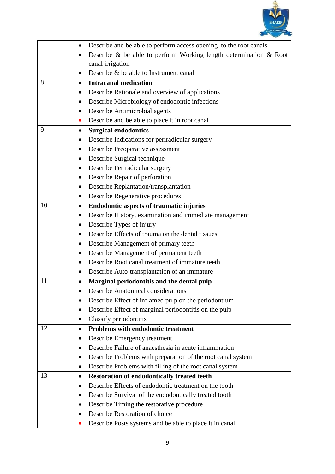

|    | Describe and be able to perform access opening to the root canals<br>$\bullet$ |
|----|--------------------------------------------------------------------------------|
|    | Describe $\&$ be able to perform Working length determination $\&$ Root        |
|    | canal irrigation                                                               |
|    | Describe & be able to Instrument canal                                         |
| 8  | <b>Intracanal medication</b>                                                   |
|    | Describe Rationale and overview of applications                                |
|    | Describe Microbiology of endodontic infections                                 |
|    | Describe Antimicrobial agents                                                  |
|    | Describe and be able to place it in root canal<br>$\bullet$                    |
| 9  | <b>Surgical endodontics</b><br>$\bullet$                                       |
|    | Describe Indications for periradicular surgery                                 |
|    | Describe Preoperative assessment                                               |
|    | Describe Surgical technique                                                    |
|    | Describe Periradicular surgery                                                 |
|    | Describe Repair of perforation                                                 |
|    | Describe Replantation/transplantation                                          |
|    | Describe Regenerative procedures                                               |
| 10 | <b>Endodontic aspects of traumatic injuries</b><br>$\bullet$                   |
|    | Describe History, examination and immediate management                         |
|    | Describe Types of injury                                                       |
|    | Describe Effects of trauma on the dental tissues                               |
|    | Describe Management of primary teeth                                           |
|    | Describe Management of permanent teeth                                         |
|    | Describe Root canal treatment of immature teeth                                |
|    | Describe Auto-transplantation of an immature                                   |
| 11 | Marginal periodontitis and the dental pulp                                     |
|    | <b>Describe Anatomical considerations</b>                                      |
|    | Describe Effect of inflamed pulp on the periodontium                           |
|    | Describe Effect of marginal periodontitis on the pulp                          |
|    | Classify periodontitis                                                         |
| 12 | <b>Problems with endodontic treatment</b><br>$\bullet$                         |
|    | Describe Emergency treatment                                                   |
|    | Describe Failure of anaesthesia in acute inflammation                          |
|    | Describe Problems with preparation of the root canal system                    |
|    | Describe Problems with filling of the root canal system                        |
| 13 | <b>Restoration of endodontically treated teeth</b><br>$\bullet$                |
|    | Describe Effects of endodontic treatment on the tooth                          |
|    | Describe Survival of the endodontically treated tooth                          |
|    | Describe Timing the restorative procedure                                      |
|    | Describe Restoration of choice                                                 |
|    | Describe Posts systems and be able to place it in canal                        |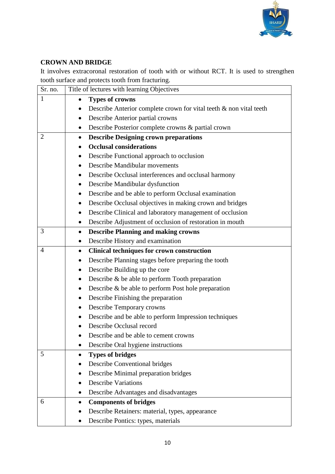

## **CROWN AND BRIDGE**

It involves extracoronal restoration of tooth with or without RCT. It is used to strengthen tooth surface and protects tooth from fracturing.

| Sr. no.        | Title of lectures with learning Objectives                            |
|----------------|-----------------------------------------------------------------------|
| $\mathbf{1}$   | <b>Types of crowns</b><br>٠                                           |
|                | Describe Anterior complete crown for vital teeth $\&$ non vital teeth |
|                | Describe Anterior partial crowns                                      |
|                | Describe Posterior complete crowns & partial crown                    |
| $\overline{2}$ | <b>Describe Designing crown preparations</b><br>$\bullet$             |
|                | <b>Occlusal considerations</b>                                        |
|                | Describe Functional approach to occlusion                             |
|                | Describe Mandibular movements                                         |
|                | Describe Occlusal interferences and occlusal harmony                  |
|                | Describe Mandibular dysfunction                                       |
|                | Describe and be able to perform Occlusal examination<br>$\bullet$     |
|                | Describe Occlusal objectives in making crown and bridges              |
|                | Describe Clinical and laboratory management of occlusion              |
|                | Describe Adjustment of occlusion of restoration in mouth              |
| 3              | <b>Describe Planning and making crowns</b><br>$\bullet$               |
|                | Describe History and examination<br>$\bullet$                         |
| $\overline{4}$ | <b>Clinical techniques for crown construction</b><br>$\bullet$        |
|                | Describe Planning stages before preparing the tooth                   |
|                | Describe Building up the core<br>٠                                    |
|                | Describe & be able to perform Tooth preparation                       |
|                | Describe $\&$ be able to perform Post hole preparation<br>$\bullet$   |
|                | Describe Finishing the preparation<br>٠                               |
|                | Describe Temporary crowns                                             |
|                | Describe and be able to perform Impression techniques                 |
|                | Describe Occlusal record                                              |
|                | Describe and be able to cement crowns                                 |
|                | Describe Oral hygiene instructions                                    |
| 5              | <b>Types of bridges</b>                                               |
|                | <b>Describe Conventional bridges</b>                                  |
|                | Describe Minimal preparation bridges                                  |
|                | <b>Describe Variations</b>                                            |
|                | Describe Advantages and disadvantages                                 |
| 6              | <b>Components of bridges</b>                                          |
|                | Describe Retainers: material, types, appearance                       |
|                | Describe Pontics: types, materials                                    |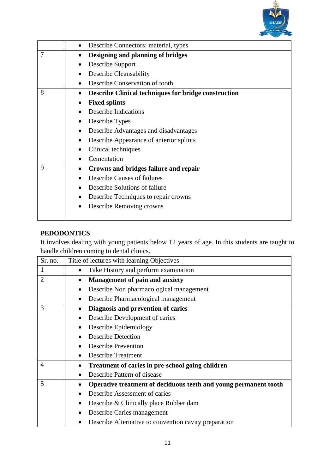

|   | Describe Connectors: material, types<br>٠                   |
|---|-------------------------------------------------------------|
| 7 | Designing and planning of bridges                           |
|   | Describe Support                                            |
|   | Describe Cleansability<br>٠                                 |
|   | Describe Conservation of tooth                              |
| 8 | <b>Describe Clinical techniques for bridge construction</b> |
|   | <b>Fixed splints</b><br>$\bullet$                           |
|   | <b>Describe Indications</b>                                 |
|   | Describe Types<br>٠                                         |
|   | Describe Advantages and disadvantages                       |
|   | Describe Appearance of anterior splints                     |
|   | Clinical techniques                                         |
|   | Cementation                                                 |
| 9 | Crowns and bridges failure and repair                       |
|   | Describe Causes of failures                                 |
|   | Describe Solutions of failure                               |
|   | Describe Techniques to repair crowns<br>٠                   |
|   | Describe Removing crowns                                    |
|   |                                                             |

## **PEDODONTICS**

It involves dealing with young patients below 12 years of age. In this students are taught to handle children coming to dental clinics.

| Sr. no.        | Title of lectures with learning Objectives                            |
|----------------|-----------------------------------------------------------------------|
| 1              | Take History and perform examination<br>$\bullet$                     |
| $\overline{2}$ | <b>Management of pain and anxiety</b><br>$\bullet$                    |
|                | Describe Non pharmacological management<br>$\bullet$                  |
|                | Describe Pharmacological management<br>$\bullet$                      |
| 3              | Diagnosis and prevention of caries                                    |
|                | Describe Development of caries<br>$\bullet$                           |
|                | Describe Epidemiology<br>$\bullet$                                    |
|                | <b>Describe Detection</b><br>٠                                        |
|                | <b>Describe Prevention</b>                                            |
|                | <b>Describe Treatment</b><br>$\bullet$                                |
| 4              | Treatment of caries in pre-school going children<br>$\bullet$         |
|                | Describe Pattern of disease<br>$\bullet$                              |
| 5              | Operative treatment of deciduous teeth and young permanent tooth<br>٠ |
|                | Describe Assessment of caries                                         |
|                | Describe & Clinically place Rubber dam<br>$\bullet$                   |
|                | Describe Caries management                                            |
|                | Describe Alternative to convention cavity preparation                 |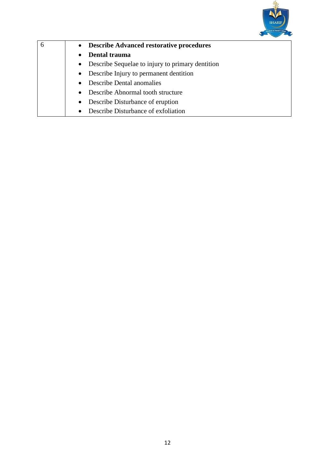

| 6 | • Describe Advanced restorative procedures         |  |  |
|---|----------------------------------------------------|--|--|
|   | Dental trauma<br>$\bullet$                         |  |  |
|   | • Describe Sequelae to injury to primary dentition |  |  |
|   | • Describe Injury to permanent dentition           |  |  |
|   | • Describe Dental anomalies                        |  |  |
|   | • Describe Abnormal tooth structure                |  |  |
|   | • Describe Disturbance of eruption                 |  |  |
|   | Describe Disturbance of exfoliation<br>$\bullet$   |  |  |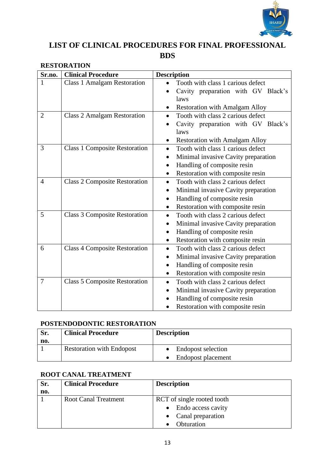

## **LIST OF CLINICAL PROCEDURES FOR FINAL PROFESSIONAL BDS**

| Sr.no.         | <b>Clinical Procedure</b>            | <b>Description</b>                                                                                                                                                    |
|----------------|--------------------------------------|-----------------------------------------------------------------------------------------------------------------------------------------------------------------------|
| 1              | <b>Class 1 Amalgam Restoration</b>   | Tooth with class 1 carious defect<br>Cavity preparation with GV Black's<br>laws<br><b>Restoration with Amalgam Alloy</b>                                              |
| $\overline{2}$ | <b>Class 2 Amalgam Restoration</b>   | Tooth with class 2 carious defect<br>Cavity preparation with GV Black's<br>laws<br><b>Restoration with Amalgam Alloy</b>                                              |
| 3              | <b>Class 1 Composite Restoration</b> | Tooth with class 1 carious defect<br>Minimal invasive Cavity preparation<br>Handling of composite resin<br>Restoration with composite resin                           |
| $\overline{4}$ | <b>Class 2 Composite Restoration</b> | Tooth with class 2 carious defect<br>$\bullet$<br>Minimal invasive Cavity preparation<br>Handling of composite resin<br>$\bullet$<br>Restoration with composite resin |
| 5              | <b>Class 3 Composite Restoration</b> | Tooth with class 2 carious defect<br>$\bullet$<br>Minimal invasive Cavity preparation<br>Handling of composite resin<br>Restoration with composite resin              |
| 6              | <b>Class 4 Composite Restoration</b> | Tooth with class 2 carious defect<br>$\bullet$<br>Minimal invasive Cavity preparation<br>Handling of composite resin<br>Restoration with composite resin<br>$\bullet$ |
| $\overline{7}$ | <b>Class 5 Composite Restoration</b> | Tooth with class 2 carious defect<br>$\bullet$<br>Minimal invasive Cavity preparation<br>Handling of composite resin<br>Restoration with composite resin              |

## **RESTORATION**

## **POSTENDODONTIC RESTORATION**

| Sr.<br>no. | <b>Clinical Procedure</b>        | <b>Description</b>                              |
|------------|----------------------------------|-------------------------------------------------|
|            | <b>Restoration with Endopost</b> | <b>Endopost selection</b><br>Endopost placement |

## **ROOT CANAL TREATMENT**

| Sr. | <b>Clinical Procedure</b>   | <b>Description</b>         |
|-----|-----------------------------|----------------------------|
| no. |                             |                            |
|     | <b>Root Canal Treatment</b> | RCT of single rooted tooth |
|     |                             | • Endo access cavity       |
|     |                             | Canal preparation          |
|     |                             | Obturation                 |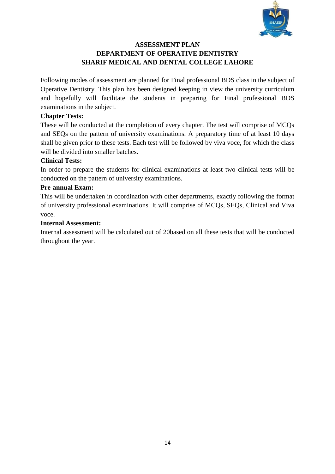

## **ASSESSMENT PLAN DEPARTMENT OF OPERATIVE DENTISTRY SHARIF MEDICAL AND DENTAL COLLEGE LAHORE**

Following modes of assessment are planned for Final professional BDS class in the subject of Operative Dentistry. This plan has been designed keeping in view the university curriculum and hopefully will facilitate the students in preparing for Final professional BDS examinations in the subject.

#### **Chapter Tests:**

These will be conducted at the completion of every chapter. The test will comprise of MCQs and SEQs on the pattern of university examinations. A preparatory time of at least 10 days shall be given prior to these tests. Each test will be followed by viva voce, for which the class will be divided into smaller batches.

#### **Clinical Tests:**

In order to prepare the students for clinical examinations at least two clinical tests will be conducted on the pattern of university examinations.

#### **Pre-annual Exam:**

This will be undertaken in coordination with other departments, exactly following the format of university professional examinations. It will comprise of MCQs, SEQs, Clinical and Viva voce.

#### **Internal Assessment:**

Internal assessment will be calculated out of 20based on all these tests that will be conducted throughout the year.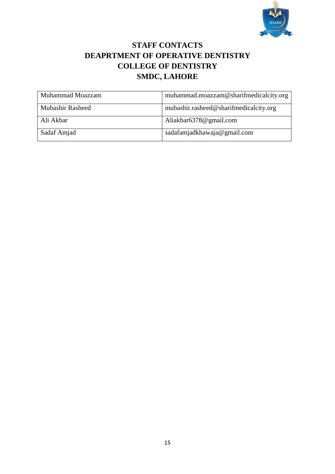

## **STAFF CONTACTS DEAPRTMENT OF OPERATIVE DENTISTRY COLLEGE OF DENTISTRY SMDC, LAHORE**

| Muhammad Moazzam        | muhammad.moazzam@sharifmedicalcity.org |
|-------------------------|----------------------------------------|
| <b>Mubashir Rasheed</b> | mubashir.rasheed@sharifmedicalcity.org |
| Ali Akbar               | Aliakbar6378@gmail.com                 |
| Sadaf Amjad             | sadafamjadkhawaja@gmail.com            |